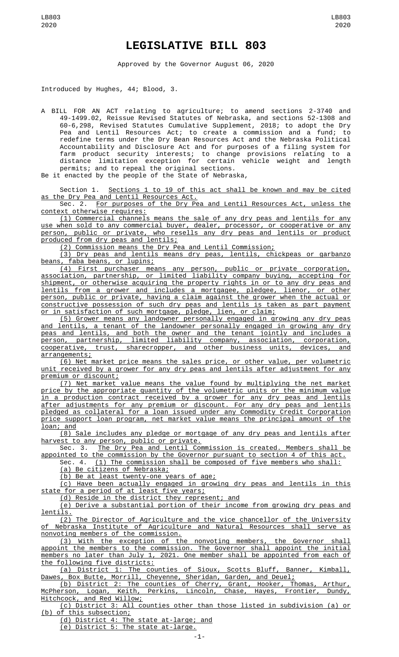## **LEGISLATIVE BILL 803**

Approved by the Governor August 06, 2020

Introduced by Hughes, 44; Blood, 3.

A BILL FOR AN ACT relating to agriculture; to amend sections 2-3740 and 49-1499.02, Reissue Revised Statutes of Nebraska, and sections 52-1308 and 60-6,298, Revised Statutes Cumulative Supplement, 2018; to adopt the Dry Pea and Lentil Resources Act; to create a commission and a fund; to redefine terms under the Dry Bean Resources Act and the Nebraska Political Accountability and Disclosure Act and for purposes of a filing system for farm product security interests; to change provisions relating to a distance limitation exception for certain vehicle weight and length permits; and to repeal the original sections.

Be it enacted by the people of the State of Nebraska,

Section 1. Sections 1 to 19 of this act shall be known and may be cited as the Dry Pea and Lentil Resources Act.

Sec. 2. For purposes of the Dry Pea and Lentil Resources Act, unless the context otherwise requires:

(1) Commercial channels means the sale of any dry peas and lentils for any use when sold to any commercial buyer, dealer, processor, or cooperative or any person, public or private, who resells any dry peas and lentils or product produced from dry peas and lentils;

(2) Commission means the Dry Pea and Lentil Commission;

(3) Dry peas and lentils means dry peas, lentils, chickpeas or garbanzo beans, faba beans, or lupins;

(4) First purchaser means any person, public or private corporation, association, partnership, or limited liability company buying, accepting for shipment, or otherwise acquiring the property rights in or to any dry peas and lentils from a grower and includes a mortgagee, pledgee, lienor, or other person, public or private, having a claim against the grower when the actual or constructive possession of such dry peas and lentils is taken as part payment or in satisfaction of such mortgage, pledge, lien, or claim;

(5) Grower means any landowner personally engaged in growing any dry peas and lentils, a tenant of the landowner personally engaged in growing any dry peas and lentils, and both the owner and the tenant jointly and includes a person, partnership, limited liability company, association, corporation, cooperative, trust, sharecropper, and other business units, devices, and arrangements;

(6) Net market price means the sales price, or other value, per volumetric unit received by a grower for any dry peas and lentils after adjustment for any premium or discount;

(7) Net market value means the value found by multiplying the net market price by the appropriate quantity of the volumetric units or the minimum value in a production contract received by a grower for any dry peas and lentils after adjustments for any premium or discount. For any dry peas and lentils pledged as collateral for a loan issued under any Commodity Credit Corporation price support loan program, net market value means the principal amount of the loan; and

(8) Sale includes any pledge or mortgage of any dry peas and lentils after harvest to any person, public or private.

Sec. 3. The Dry Pea and Lentil Commission is created. Members shall be appointed to the commission by the Governor pursuant to section 4 of this act.

Sec. 4. (1) The commission shall be composed of five members who shall:

(a) Be citizens of Nebraska;

(b) Be at least twenty-one years of age;

(c) Have been actually engaged in growing dry peas and lentils in this state for a period of at least five years;

(d) Reside in the district they represent; and

(e) Derive a substantial portion of their income from growing dry peas and lentils.

(2) The Director of Agriculture and the vice chancellor of the University of Nebraska Institute of Agriculture and Natural Resources shall serve as nonvoting members of the commission.<br>(3) With the exception of the nonvoting members,

(3) With the exception of the nonvoting members, the Governor shall appoint the members to the commission. The Governor shall appoint the initial members no later than July 1, 2021. One member shall be appointed from each of the following five districts:

(a) District 1: The counties of Sioux, Scotts Bluff, Banner, Kimball, Dawes, Box Butte, Morrill, Cheyenne, Sheridan, Garden, and Deuel;

(b) District 2: The counties of Cherry, Grant, Hooker, Thomas, Arthur, McPherson, Logan, Keith, Perkins, Lincoln, Chase, Hayes, Frontier, Dundy, McPherson, Logan, Keith,<br>Hitchcock, and Red Willow;

(c) District 3: All counties other than those listed in subdivision (a) or (b) of this subsection;

(d) District 4: The state at-large; and

(e) District 5: The state at-large.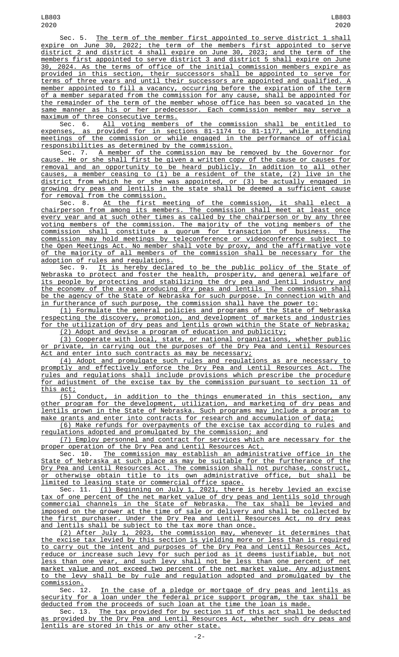Sec. 5. The term of the member first appointed to serve district 1 shall expire on June 30, 2022; the term of the members first appointed to serve district 2 and district 4 shall expire on June 30, 2023; and the term of the members first appointed to serve district 3 and district 5 shall expire on June 30, 2024. As the terms of office of the initial commission members expire as provided in this section, their successors shall be appointed to serve for terms of three years and until their successors are appointed and qualified. A member appointed to fill a vacancy, occurring before the expiration of the term of a member separated from the commission for any cause, shall be appointed for the remainder of the term of the member whose office has been so vacated in the same manner as his or her predecessor. Each commission member may serve a maximum of three consecutive terms.

Sec. 6. All voting members of the commission shall be entitled to expenses, as provided for in sections 81-1174 to 81-1177, while attending meetings of the commission or while engaged in the performance of official responsibilities as determined by the commission.

Sec. 7. A member of the commission may be removed by the Governor for cause. He or she shall first be given a written copy of the cause or causes for removal and an opportunity to be heard publicly. In addition to all other causes, a member ceasing to (1) be a resident of the state, (2) live in the district from which he or she was appointed, or (3) be actually engaged in growing dry peas and lentils in the state shall be deemed a sufficient cause for removal from the commission.

Sec. 8. At the first meeting of the commission, it shall elect a chairperson from among its members. The commission shall meet at least once every year and at such other times as called by the chairperson or by any three voting members of the commission. The majority of the voting members of the commission shall constitute a quorum for transaction of business. The commission may hold meetings by teleconference or videoconference subject to the Open Meetings Act. No member shall vote by proxy, and the affirmative vote of the majority of all members of the commission shall be necessary for the adoption of rules and regulations.

Sec. 9. <u>It is hereby declared to be the public policy of the State of</u> Nebraska to protect and foster the health, prosperity, and general welfare of its people by protecting and stabilizing the dry pea and lentil industry and the economy of the areas producing dry peas and lentils. The commission shall be the agency of the State of Nebraska for such purpose. In connection with and in furtherance of such purpose, the commission shall have the power to:

(1) Formulate the general policies and programs of the State of Nebraska respecting the discovery, promotion, and development of markets and industries for the utilization of dry peas and lentils grown within the State of Nebraska; (2) Adopt and devise a program of education and publicity;

(3) Cooperate with local, state, or national organizations, whether public or private, in carrying out the purposes of the Dry Pea and Lentil Resources Act and enter into such contracts as may be necessary;

(4) Adopt and promulgate such rules and regulations as are necessary to promptly and effectively enforce the Dry Pea and Lentil Resources Act. The rules and regulations shall include provisions which prescribe the procedure for adjustment of the excise tax by the commission pursuant to section 11 of this act;

(5) Conduct, in addition to the things enumerated in this section, any other program for the development, utilization, and marketing of dry peas and lentils grown in the State of Nebraska. Such programs may include a program to make grants and enter into contracts for research and accumulation of data;

(6) Make refunds for overpayments of the excise tax according to rules and regulations adopted and promulgated by the commission; and

(7) Employ personnel and contract for services which are necessary for the proper operation of the Dry Pea and Lentil Resources Act.

Sec. 10. The commission may establish an administrative office in the State of Nebraska at such place as may be suitable for the furtherance of the Dry Pea and Lentil Resources Act. The commission shall not purchase, construct, or otherwise obtain title to its own administrative office, but shall be limited to leasing state or commercial office space.

Sec. 11. (1) Beginning on July 1, 2021, there is hereby levied an excise tax of one percent of the net market value of dry peas and lentils sold through commercial channels in the State of Nebraska. The tax shall be levied and imposed on the grower at the time of sale or delivery and shall be collected by the first purchaser. Under the Dry Pea and Lentil Resources Act, no dry peas<br>and lentils shall be subject to the tax more than once. and lentils shall be subject to the tax more than once.

(2) After July 1, 2023, the commission may, whenever it determines that the excise tax levied by this section is yielding more or less than is required to carry out the intent and purposes of the Dry Pea and Lentil Resources Act, reduce or increase such levy for such period as it deems justifiable, but not less than one year, and such levy shall not be less than one percent of net market value and not exceed two percent of the net market value. Any adjustment to the levy shall be by rule and regulation adopted and promulgated by the

commission.<br>Sec. 12. In the case of a pledge or mortgage of dry peas and lentils as security for a loan under the federal price support program, the tax shall be deducted from the proceeds of such loan at the time the loan is made.

Sec. 13. The tax provided for by section 11 of this act shall be deducted as provided by the Dry Pea and Lentil Resources Act, whether such dry peas and lentils are stored in this or any other state.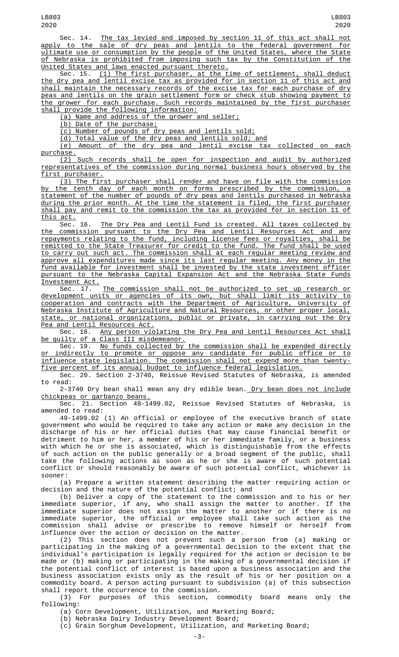Sec. 14. The tax levied and imposed by section 11 of this act shall not apply to the sale of dry peas and lentils to the federal government for ultimate use or consumption by the people of the United States, where the State of Nebraska is prohibited from imposing such tax by the Constitution of the United States and laws enacted pursuant thereto.

Sec. 15. <u>(1) The first purchaser, at the time of settlement, shall deduct</u> the dry pea and lentil excise tax as provided for in section 11 of this act and shall maintain the necessary records of the excise tax for each purchase of dry peas and lentils on the grain settlement form or check stub showing payment to the grower for each purchase. Such records maintained by the first purchaser shall provide the following information:

(a) Name and address of the grower and seller;

(b) Date of the purchase;

(c) Number of pounds of dry peas and lentils sold;

(d) Total value of the dry peas and lentils sold; and

(e) Amount of the dry pea and lentil excise tax collected on each purchase.

(2) Such records shall be open for inspection and audit by authorized representatives of the commission during normal business hours observed by the first purchaser.

(3) The first purchaser shall render and have on file with the commission by the tenth day of each month on forms prescribed by the commission, a statement of the number of pounds of dry peas and lentils purchased in Nebraska during the prior month. At the time the statement is filed, the first purchaser shall pay and remit to the commission the tax as provided for in section 11 of this act.

Sec. 16. The Dry Pea and Lentil Fund is created. All taxes collected by the commission pursuant to the Dry Pea and Lentil Resources Act and any repayments relating to the fund, including license fees or royalties, shall be remitted to the State Treasurer for credit to the fund. The fund shall be used to carry out such act. The commission shall at each regular meeting review and approve all expenditures made since its last regular meeting. Any money in the fund available for investment shall be invested by the state investment officer pursuant to the Nebraska Capital Expansion Act and the Nebraska State Funds Investment Act.

Sec. 17. The commission shall not be authorized to set up research or development units or agencies of its own, but shall limit its activity to cooperation and contracts with the Department of Agriculture, University of Nebraska Institute of Agriculture and Natural Resources, or other proper local, state, or national organizations, public or private, in carrying out the Dry Pea and Lentil Resources Act.

Sec. 18. Any person violating the Dry Pea and Lentil Resources Act shall be guilty of a Class III misdemeanor.

Sec. 19. <u>No funds collected by the commission shall be expended directly</u> or indirectly to promote or oppose any candidate for public office or to influence state legislation. The commission shall not expend more than twentyfive percent of its annual budget to influence federal legislation.

Sec. 20. Section 2-3740, Reissue Revised Statutes of Nebraska, is amended to read:

2-3740 Dry bean shall mean any dry edible bean. Dry bean does not include chickpeas or garbanzo beans.

Sec. 21. Section 49-1499.02, Reissue Revised Statutes of Nebraska, is amended to read:

49-1499.02 (1) An official or employee of the executive branch of state government who would be required to take any action or make any decision in the discharge of his or her official duties that may cause financial benefit or detriment to him or her, a member of his or her immediate family, or a business with which he or she is associated, which is distinguishable from the effects of such action on the public generally or a broad segment of the public, shall take the following actions as soon as he or she is aware of such potential conflict or should reasonably be aware of such potential conflict, whichever is sooner:

(a) Prepare a written statement describing the matter requiring action or decision and the nature of the potential conflict; and

(b) Deliver a copy of the statement to the commission and to his or her immediate superior, if any, who shall assign the matter to another. If the immediate superior does not assign the matter to another or if there is no immediate superior, the official or employee shall take such action as the commission shall advise or prescribe to remove himself or herself from influence over the action or decision on the matter.

(2) This section does not prevent such a person from (a) making or participating in the making of a governmental decision to the extent that the individual's participation is legally required for the action or decision to be made or (b) making or participating in the making of a governmental decision if the potential conflict of interest is based upon a business association and the business association exists only as the result of his or her position on a commodity board. A person acting pursuant to subdivision (a) of this subsection shall report the occurrence to the commission.

(3) For purposes of this section, commodity board means only the following:

(a) Corn Development, Utilization, and Marketing Board;

(b) Nebraska Dairy Industry Development Board;

(c) Grain Sorghum Development, Utilization, and Marketing Board;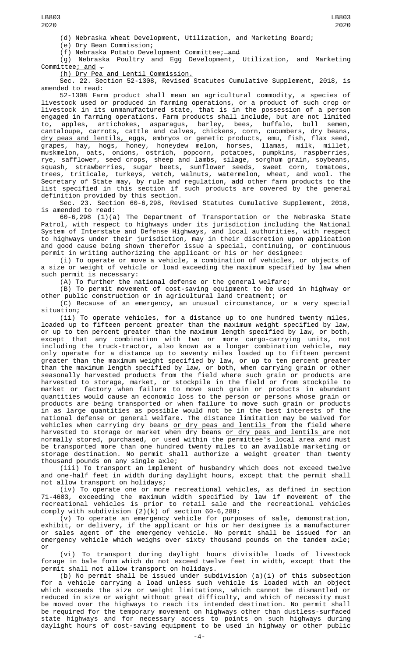(e) Dry Bean Commission;

(f) Nebraska Potato Development Committee; and

(g) Nebraska Poultry and Egg Development, Utilization, and Marketing Committee; and  $-$ 

(h) Dry Pea and Lentil Commission.

Sec. 22. Section 52-1308, Revised Statutes Cumulative Supplement, 2018, is amended to read:

52-1308 Farm product shall mean an agricultural commodity, a species of livestock used or produced in farming operations, or a product of such crop or livestock in its unmanufactured state, that is in the possession of a person engaged in farming operations. Farm products shall include, but are not limited to, apples, artichokes, asparagus, barley, bees, buffalo, bull semen, cantaloupe, carrots, cattle and calves, chickens, corn, cucumbers, dry beans, dry peas and lentils, eggs, embryos or genetic products, emu, fish, flax seed, grapes, hay, hogs, honey, honeydew melon, horses, llamas, milk, millet, muskmelon, oats, onions, ostrich, popcorn, potatoes, pumpkins, raspberries, rye, safflower, seed crops, sheep and lambs, silage, sorghum grain, soybeans, squash, strawberries, sugar beets, sunflower seeds, sweet corn, tomatoes, trees, triticale, turkeys, vetch, walnuts, watermelon, wheat, and wool. The Secretary of State may, by rule and regulation, add other farm products to the list specified in this section if such products are covered by the general definition provided by this section.

Sec. 23. Section 60-6,298, Revised Statutes Cumulative Supplement, 2018, is amended to read:

60-6,298 (1)(a) The Department of Transportation or the Nebraska State Patrol, with respect to highways under its jurisdiction including the National System of Interstate and Defense Highways, and local authorities, with respect to highways under their jurisdiction, may in their discretion upon application and good cause being shown therefor issue a special, continuing, or continuous permit in writing authorizing the applicant or his or her designee:

(i) To operate or move a vehicle, a combination of vehicles, or objects of a size or weight of vehicle or load exceeding the maximum specified by law when such permit is necessary:

(A) To further the national defense or the general welfare;

(B) To permit movement of cost-saving equipment to be used in highway or other public construction or in agricultural land treatment; or

(C) Because of an emergency, an unusual circumstance, or a very special situation;

(ii) To operate vehicles, for a distance up to one hundred twenty miles, loaded up to fifteen percent greater than the maximum weight specified by law, or up to ten percent greater than the maximum length specified by law, or both, except that any combination with two or more cargo-carrying units, not including the truck-tractor, also known as a longer combination vehicle, may only operate for a distance up to seventy miles loaded up to fifteen percent greater than the maximum weight specified by law, or up to ten percent greater than the maximum length specified by law, or both, when carrying grain or other seasonally harvested products from the field where such grain or products are harvested to storage, market, or stockpile in the field or from stockpile to market or factory when failure to move such grain or products in abundant quantities would cause an economic loss to the person or persons whose grain or products are being transported or when failure to move such grain or products in as large quantities as possible would not be in the best interests of the national defense or general welfare. The distance limitation may be waived for vehicles when carrying dry beans <u>or dry peas and lentils from the field</u> where harvested to storage or market when dry beans <u>or dry peas and lentils </u>are not normally stored, purchased, or used within the permittee's local area and must be transported more than one hundred twenty miles to an available marketing or storage destination. No permit shall authorize a weight greater than twenty thousand pounds on any single axle;

(iii) To transport an implement of husbandry which does not exceed twelve and one-half feet in width during daylight hours, except that the permit shall not allow transport on holidays;

(iv) To operate one or more recreational vehicles, as defined in section 71-4603, exceeding the maximum width specified by law if movement of the recreational vehicles is prior to retail sale and the recreational vehicles comply with subdivision (2)(k) of section 60-6,288;

(v) To operate an emergency vehicle for purposes of sale, demonstration, exhibit, or delivery, if the applicant or his or her designee is a manufacturer or sales agent of the emergency vehicle. No permit shall be issued for an emergency vehicle which weighs over sixty thousand pounds on the tandem axle; or

(vi) To transport during daylight hours divisible loads of livestock forage in bale form which do not exceed twelve feet in width, except that the permit shall not allow transport on holidays.

(b) No permit shall be issued under subdivision  $(a)(i)$  of this subsection for a vehicle carrying a load unless such vehicle is loaded with an object which exceeds the size or weight limitations, which cannot be dismantled or reduced in size or weight without great difficulty, and which of necessity must be moved over the highways to reach its intended destination. No permit shall be required for the temporary movement on highways other than dustless-surfaced state highways and for necessary access to points on such highways during daylight hours of cost-saving equipment to be used in highway or other public